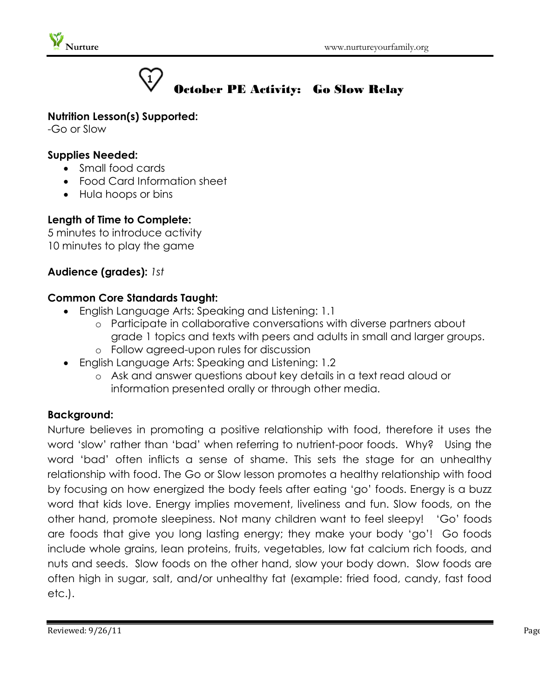



# October PE Activity: Go Slow Relay

#### **Nutrition Lesson(s) Supported:**

-Go or Slow

#### **Supplies Needed:**

- Small food cards
- Food Card Information sheet
- Hula hoops or bins

# **Length of Time to Complete:**

5 minutes to introduce activity 10 minutes to play the game

# **Audience (grades):** *1st*

# **Common Core Standards Taught:**

- English Language Arts: Speaking and Listening: 1.1
	- o Participate in collaborative conversations with diverse partners about grade 1 topics and texts with peers and adults in small and larger groups. o Follow agreed-upon rules for discussion
- English Language Arts: Speaking and Listening: 1.2
	- o Ask and answer questions about key details in a text read aloud or information presented orally or through other media.

# **Background:**

Nurture believes in promoting a positive relationship with food, therefore it uses the word 'slow' rather than 'bad' when referring to nutrient-poor foods. Why? Using the word 'bad' often inflicts a sense of shame. This sets the stage for an unhealthy relationship with food. The Go or Slow lesson promotes a healthy relationship with food by focusing on how energized the body feels after eating 'go' foods. Energy is a buzz word that kids love. Energy implies movement, liveliness and fun. Slow foods, on the other hand, promote sleepiness. Not many children want to feel sleepy! 'Go' foods are foods that give you long lasting energy; they make your body 'go'! Go foods include whole grains, lean proteins, fruits, vegetables, low fat calcium rich foods, and nuts and seeds. Slow foods on the other hand, slow your body down. Slow foods are often high in sugar, salt, and/or unhealthy fat (example: fried food, candy, fast food etc.).